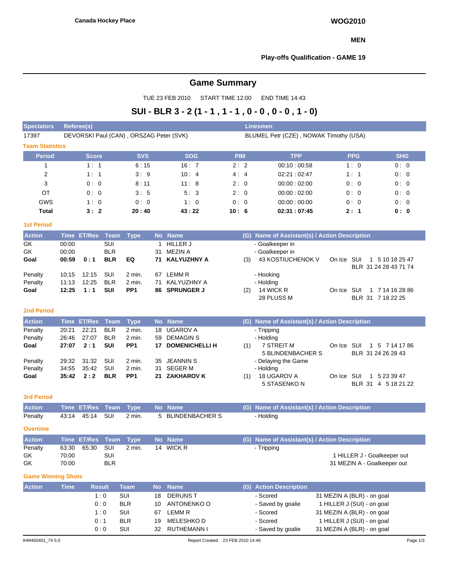### **MEN**

## **Play-offs Qualification - GAME 19**

# **Game Summary**

TUE 23 FEB 2010 START TIME 12:00 END TIME 14:43

## **SUI - BLR 3 - 2 (1 - 1 , 1 - 1 , 0 - 0 , 0 - 0 , 1 - 0)**

| <b>Spectators</b>         | <b>Referee(s)</b>                       |                    |                   |                   |           |                                  |            |     | Linesmen                                      |                                                          |                             |  |  |  |  |  |
|---------------------------|-----------------------------------------|--------------------|-------------------|-------------------|-----------|----------------------------------|------------|-----|-----------------------------------------------|----------------------------------------------------------|-----------------------------|--|--|--|--|--|
| 17397                     | DEVORSKI Paul (CAN), ORSZAG Peter (SVK) |                    |                   |                   |           |                                  |            |     | BLUMEL Petr (CZE), NOWAK Timothy (USA)        |                                                          |                             |  |  |  |  |  |
| <b>Team Statistics</b>    |                                         |                    |                   |                   |           |                                  |            |     |                                               |                                                          |                             |  |  |  |  |  |
| <b>Period</b>             |                                         | <b>Score</b>       |                   | <b>SVS</b>        |           | <b>SOG</b>                       | <b>PIM</b> |     | <b>TPP</b>                                    | <b>PPG</b>                                               | <b>SHG</b>                  |  |  |  |  |  |
| $\mathbf{1}$              |                                         | 1:1                |                   | 6:15              |           | 16:7                             | 2:2        |     | 00:10:00:58                                   | 1:0                                                      | 0:0                         |  |  |  |  |  |
| 2                         |                                         | 1:1                |                   | 3:9               |           | 10:4                             | 4:4        |     | 02:21:02:47                                   | 1:1                                                      | 0:0                         |  |  |  |  |  |
| 3                         |                                         | 0:0                |                   | 8:11              |           | 11:8                             | 2:0        |     | 00:00:02:00                                   | 0:0                                                      | 0:0                         |  |  |  |  |  |
| ОT                        |                                         | 0:0                |                   | 3:5               |           | 5:3                              | 2:0        |     | 00:00:02:00                                   | 0:0                                                      | 0:0                         |  |  |  |  |  |
| GWS                       |                                         | 1:0                |                   | 0:0               |           | 1:0                              | 0:0        |     | 00:00:00:00                                   | 0:0                                                      | 0:0                         |  |  |  |  |  |
| <b>Total</b>              |                                         | 3:2                |                   | 20:40             |           | 43:22                            | 10:6       |     | 02:31:07:45                                   | 2:1                                                      | 0: 0                        |  |  |  |  |  |
| <b>1st Period</b>         |                                         |                    |                   |                   |           |                                  |            |     |                                               |                                                          |                             |  |  |  |  |  |
| <b>Action</b>             |                                         | Time ET/Res        | Team              | <b>Type</b>       |           | No Name                          |            |     | (G) Name of Assistant(s) / Action Description |                                                          |                             |  |  |  |  |  |
| GK                        | 00:00                                   |                    | SUI               |                   | 1         | <b>HILLER J</b>                  |            |     | - Goalkeeper in                               |                                                          |                             |  |  |  |  |  |
| GK                        | 00:00                                   |                    | <b>BLR</b>        |                   | 31        | <b>MEZIN A</b>                   |            |     | - Goalkeeper in                               |                                                          |                             |  |  |  |  |  |
| Goal                      | 00:59                                   | 0:1                | <b>BLR</b>        | EQ                | 71        | <b>KALYUZHNY A</b>               |            | (3) | 43 KOSTIUCHENOK V                             | On Ice SUI                                               | 1 5 10 18 25 47             |  |  |  |  |  |
| Penalty                   | 10:15                                   | 12:15              | SUI               | 2 min.            | 67        | LEMM R                           |            |     |                                               |                                                          | BLR 31 24 28 43 71 74       |  |  |  |  |  |
| Penalty                   | 11:13                                   | 12:25              | <b>BLR</b>        | 2 min.            | 71        | KALYUZHNY A                      |            |     | - Hooking<br>- Holding                        |                                                          |                             |  |  |  |  |  |
| Goal                      | 12:25                                   | 1:1                | SUI               | PP <sub>1</sub>   | 86        | <b>SPRUNGER J</b>                |            | (2) | 14 WICK R                                     | On Ice SUI                                               | 1 7 14 16 28 86             |  |  |  |  |  |
|                           |                                         |                    |                   |                   |           |                                  |            |     | 28 PLUSS M                                    |                                                          | BLR 31 7 18 22 25           |  |  |  |  |  |
| <b>2nd Period</b>         |                                         |                    |                   |                   |           |                                  |            |     |                                               |                                                          |                             |  |  |  |  |  |
| <b>Action</b>             |                                         | <b>Time ET/Res</b> | <b>Team</b>       | <b>Type</b>       |           | No Name                          |            |     | (G) Name of Assistant(s) / Action Description |                                                          |                             |  |  |  |  |  |
| Penalty                   | 20:21                                   | 22:21              | <b>BLR</b>        | 2 min.            | 18        | <b>UGAROV A</b>                  |            |     | - Tripping                                    |                                                          |                             |  |  |  |  |  |
| Penalty                   | 26:46                                   | 27:07              | <b>BLR</b>        | 2 min.            | 59        | <b>DEMAGINS</b>                  |            |     | - Holding                                     |                                                          |                             |  |  |  |  |  |
| Goal                      | 27:07                                   | 2:1                | SUI               | PP <sub>1</sub>   |           | 17 DOMENICHELLI H                |            | (1) | <b>7 STREIT M</b>                             | On Ice SUI                                               | 1 5 7 14 17 86              |  |  |  |  |  |
| Penalty                   | 29:32                                   | 31:32              | SUI               | 2 min.            | 35        | <b>JEANNIN S</b>                 |            |     | 5 BLINDENBACHER S<br>- Delaying the Game      |                                                          | BLR 31 24 26 28 43          |  |  |  |  |  |
| Penalty                   | 34:55                                   | 35:42              | SUI               | 2 min.            | 31        | <b>SEGER M</b>                   |            |     | - Holding                                     |                                                          |                             |  |  |  |  |  |
| Goal                      | 35:42                                   | 2:2                | <b>BLR</b>        | PP <sub>1</sub>   | 21        | <b>ZAKHAROV K</b>                |            | (1) | 18 UGAROV A                                   | On Ice SUI                                               | 1 5 23 39 47                |  |  |  |  |  |
|                           |                                         |                    |                   |                   |           |                                  |            |     | 5 STASENKO N                                  |                                                          | BLR 31 4 5 18 21 22         |  |  |  |  |  |
| <b>3rd Period</b>         |                                         |                    |                   |                   |           |                                  |            |     |                                               |                                                          |                             |  |  |  |  |  |
| <b>Action</b>             | <b>Time</b>                             | <b>ET/Res</b>      | <b>Team</b>       | <b>Type</b>       | <b>No</b> | <b>Name</b>                      |            | (G) | Name of Assistant(s) / Action Description     |                                                          |                             |  |  |  |  |  |
| Penalty                   | 43:14                                   | 45:14              | SUI               | 2 min.            | 5         | <b>BLINDENBACHER S</b>           |            |     | - Holding                                     |                                                          |                             |  |  |  |  |  |
|                           |                                         |                    |                   |                   |           |                                  |            |     |                                               |                                                          |                             |  |  |  |  |  |
| <b>Overtime</b>           |                                         |                    |                   |                   |           |                                  |            |     |                                               |                                                          |                             |  |  |  |  |  |
| <b>Action</b>             | <b>Time</b>                             | <b>ET/Res</b>      | <b>Team</b>       | <b>Type</b>       | <b>No</b> | <b>Name</b>                      |            | (G) | Name of Assistant(s) / Action Description     |                                                          |                             |  |  |  |  |  |
| Penalty                   | 63:30                                   | 65:30              | SUI               | 2 min.            |           | 14 WICK R                        |            |     | - Tripping                                    |                                                          |                             |  |  |  |  |  |
| GK                        | 70:00                                   |                    | SUI<br><b>BLR</b> |                   |           |                                  |            |     |                                               |                                                          | 1 HILLER J - Goalkeeper out |  |  |  |  |  |
| GK                        | 70:00                                   |                    |                   |                   |           |                                  |            |     |                                               | 31 MEZIN A - Goalkeeper out                              |                             |  |  |  |  |  |
| <b>Game Winning Shots</b> |                                         |                    |                   |                   |           |                                  |            |     |                                               |                                                          |                             |  |  |  |  |  |
| <b>Action</b>             | <b>Time</b>                             | <b>Result</b>      |                   | <b>Team</b>       | <b>No</b> | <b>Name</b>                      |            |     | (G) Action Description                        |                                                          |                             |  |  |  |  |  |
|                           |                                         |                    | 1:0               | SUI               | 18        | <b>DERUNS T</b>                  |            |     | - Scored                                      | 31 MEZIN A (BLR) - on goal                               |                             |  |  |  |  |  |
|                           |                                         |                    | 0:0               | <b>BLR</b>        | 10        | ANTONENKO O                      |            |     | - Saved by goalie                             | 1 HILLER J (SUI) - on goal                               |                             |  |  |  |  |  |
|                           |                                         |                    | 1:0               | SUI               | 67        | LEMM R<br><b>MELESHKOD</b>       |            |     | - Scored<br>- Scored                          | 31 MEZIN A (BLR) - on goal                               |                             |  |  |  |  |  |
|                           |                                         | 0:1                | 0:0               | <b>BLR</b><br>SUI | 19<br>32  | RUTHEMANN I                      |            |     | - Saved by goalie                             | 1 HILLER J (SUI) - on goal<br>31 MEZIN A (BLR) - on goal |                             |  |  |  |  |  |
|                           |                                         |                    |                   |                   |           |                                  |            |     |                                               |                                                          |                             |  |  |  |  |  |
| IHM400401_74 5.0          |                                         |                    |                   |                   |           | Report Created 23 FEB 2010 14:46 |            |     |                                               |                                                          | Page 1/3                    |  |  |  |  |  |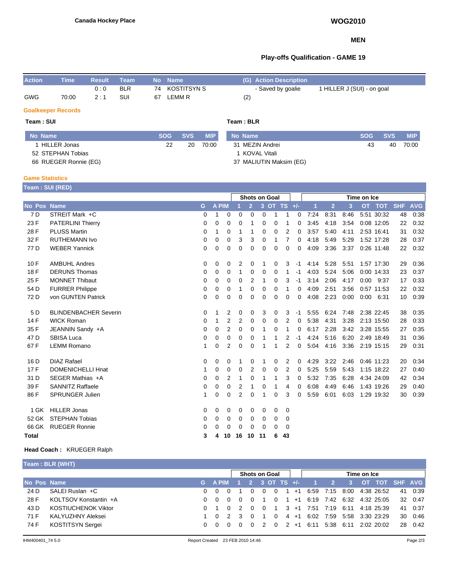#### **MEN**

### **Play-offs Qualification - GAME 19**

| <b>Action</b> | <b>Time</b> | <b>Result</b> | Team       |    | No Name        |     | (G) Action Description |                            |
|---------------|-------------|---------------|------------|----|----------------|-----|------------------------|----------------------------|
|               |             | 0:0           | <b>BLR</b> |    | 74 KOSTITSYN S |     | - Saved by goalie      | 1 HILLER J (SUI) - on goal |
| <b>GWG</b>    | 70:00       | $2 \cdot 1$   | SUI        | 67 | LEMM R         | (2) |                        |                            |

#### **Goalkeeper Records**

#### **Team : SUI Team : BLR No Name SOG SVS MIP** 1 HILLER Jonas 52 STEPHAN Tobias 66 RUEGER Ronnie (EG) 22 20 70:00 **No Name SOG SVS MIP** 31 MEZIN Andrei 1 KOVAL Vitali 37 MALIUTIN Maksim (EG) 43 40 70:00

#### **Game Statistics**

**Team : SUI (RED)**

|                    | $\frac{1}{2}$                |          |              |             | Time on Ice<br><b>Shots on Goal</b> |                |          |          |               |          |      |                |      |      |            |            |            |
|--------------------|------------------------------|----------|--------------|-------------|-------------------------------------|----------------|----------|----------|---------------|----------|------|----------------|------|------|------------|------------|------------|
| <b>No Pos Name</b> |                              | G        | <b>A PIM</b> |             |                                     | $\overline{2}$ |          |          | 3 OT TS $+/-$ |          | 1    | $\overline{2}$ | 3    |      | OT TOT     | <b>SHF</b> | <b>AVG</b> |
| 7 D                | STREIT Mark +C               | $\Omega$ | 1            | $\Omega$    | 0                                   | 0              | 0        | 1        | 1             | 0        | 7:24 | 8:31           | 8:46 |      | 5:51 30:32 | 48         | 0:38       |
| 23 F               | <b>PATERLINI Thierry</b>     | 0        | 0            | 0           | $\Omega$                            | 1              | $\Omega$ | 0        | 1             | 0        | 3:45 | 4:18           | 3:54 |      | 0:08 12:05 | 22         | 0:32       |
| 28 F               | <b>PLUSS Martin</b>          | 0        | 1            | 0           | 1                                   | 1              | 0        | 0        | 2             | 0        | 3:57 | 5:40           | 4:11 |      | 2:53 16:41 | 31         | 0:32       |
| 32 F               | <b>RUTHEMANN Ivo</b>         | 0        | 0            | 0           | 3                                   | 3              | $\Omega$ |          | 7             | $\Omega$ | 4:18 | 5:49           | 5:29 |      | 1:52 17:28 | 28         | 0:37       |
| 77 D               | <b>WEBER Yannick</b>         | 0        | 0            | 0           | 0                                   | 0              | 0        | 0        | 0             | 0        | 4:09 | 3:36           | 3:37 |      | 0:26 11:48 | 22         | 0:32       |
| 10F                | <b>AMBUHL Andres</b>         | 0        | 0            | 0           | 2                                   | 0              |          | 0        | 3             | -1       | 4:14 | 5:28           | 5:51 |      | 1:57 17:30 | 29         | 0:36       |
| 18 F               | <b>DERUNS Thomas</b>         | 0        | 0            | 0           | 1                                   | 0              | 0        | 0        | 1             | -1       | 4:03 | 5:24           | 5:06 |      | 0:00 14:33 | 23         | 0:37       |
| 25 F               | <b>MONNET Thibaut</b>        | 0        | 0            | 0           | 0                                   | 2              | 1        | 0        | 3             | -1       | 3:14 | 2:06           | 4:17 | 0:00 | 9:37       | 17         | 0:33       |
| 54 D               | <b>FURRER Philippe</b>       | 0        | 0            | 0           | 1                                   | 0              | 0        | 0        | 1             | 0        | 4:09 | 2:51           | 3:56 |      | 0:57 11:53 | 22         | 0:32       |
| 72 D               | von GUNTEN Patrick           | 0        | 0            | $\mathbf 0$ | 0                                   | 0              | 0        | 0        | 0             | 0        | 4:08 | 2:23           | 0:00 | 0:00 | 6:31       | 10         | 0:39       |
| 5 D                | <b>BLINDENBACHER Severin</b> | 0        | 1            | 2           | 0                                   | 0              | 3        | 0        | 3             | $-1$     | 5:55 | 6:24           | 7:48 |      | 2:38 22:45 | 38         | 0:35       |
| 14 F               | <b>WICK Roman</b>            | 0        | 1            | 2           | 2                                   | 0              | $\Omega$ | $\Omega$ | 2             | 0        | 5:38 | 4:31           | 3:28 |      | 2:13 15:50 | 28         | 0.33       |
| 35 F               | JEANNIN Sandy +A             | 0        | 0            | 2           | $\Omega$                            | $\Omega$       |          | 0        | 1             | 0        | 6:17 | 2:28           | 3:42 |      | 3:28 15:55 | 27         | 0:35       |
| 47 <sub>D</sub>    | <b>SBISA Luca</b>            | 0        | 0            | $\mathbf 0$ | 0                                   | 0              |          |          | 2             | -1       | 4:24 | 5:16           | 6:20 |      | 2:49 18:49 | 31         | 0:36       |
| 67 F               | <b>LEMM Romano</b>           | 1        | 0            | 2           | 0                                   | $\Omega$       |          | 1        | 2             | 0        | 5:04 | 4:16           | 3:36 |      | 2:19 15:15 | 29         | 0:31       |
| 16 D               | <b>DIAZ Rafael</b>           | 0        | 0            | 0           | 1                                   | 0              |          | 0        | 2             | 0        | 4:29 | 3:22           | 2:46 |      | 0:46 11:23 | 20         | 0:34       |
| 17F                | <b>DOMENICHELLI Hnat</b>     |          | 0            | 0           | 0                                   | 2              | $\Omega$ | 0        | 2             | 0        | 5:25 | 5:59           | 5:43 |      | 1:15 18:22 | 27         | 0:40       |
| 31 D               | SEGER Mathias +A             | 0        | 0            | 2           | 1                                   | 0              | 1        | 1        | 3             | 0        | 5:32 | 7:35           | 6:28 |      | 4:34 24:09 | 42         | 0:34       |
| 39 F               | <b>SANNITZ Raffaele</b>      | 0        | 0            | 0           | 2                                   | 1              | 0        |          | 4             | 0        | 6:08 | 4:49           | 6:46 |      | 1:43 19:26 | 29         | 0:40       |
| 86 F               | <b>SPRUNGER Julien</b>       | 1        | 0            | 0           | 2                                   | 0              |          | 0        | 3             | 0        | 5:59 | 6:01           | 6:03 |      | 1:29 19:32 | 30         | 0:39       |
| 1 GK               | <b>HILLER Jonas</b>          | 0        | 0            | 0           | 0                                   | $\Omega$       | 0        | 0        | 0             |          |      |                |      |      |            |            |            |
| 52 GK              | <b>STEPHAN Tobias</b>        | 0        | 0            | 0           | 0                                   | 0              | 0        | 0        | 0             |          |      |                |      |      |            |            |            |
| 66 GK              | <b>RUEGER Ronnie</b>         | 0        | 0            | 0           | 0                                   | $\Omega$       | $\Omega$ | 0        | 0             |          |      |                |      |      |            |            |            |
| <b>Total</b>       |                              | 3        | 4            | 10          | 16                                  | 10             | 11       | 6        | 43            |          |      |                |      |      |            |            |            |

### **Head Coach :** KRUEGER Ralph

| Team: BLR (WHT)         |  |                    |                      |   |  |  |                 |                                                                     |                          |  |           |  |  |                                                                                                                                                                    |                      |  |  |
|-------------------------|--|--------------------|----------------------|---|--|--|-----------------|---------------------------------------------------------------------|--------------------------|--|-----------|--|--|--------------------------------------------------------------------------------------------------------------------------------------------------------------------|----------------------|--|--|
|                         |  |                    | <b>Shots on Goal</b> |   |  |  |                 |                                                                     | Time on Ice              |  |           |  |  |                                                                                                                                                                    |                      |  |  |
| No Pos Name             |  |                    |                      |   |  |  |                 |                                                                     |                          |  |           |  |  |                                                                                                                                                                    |                      |  |  |
| SALEI Ruslan +C         |  |                    |                      |   |  |  |                 |                                                                     |                          |  |           |  |  |                                                                                                                                                                    | 41 0:39              |  |  |
| KOLTSOV Konstantin +A   |  | - റ                | $\Omega$             |   |  |  |                 |                                                                     |                          |  |           |  |  |                                                                                                                                                                    | 32 0:47              |  |  |
| KOSTIUCHENOK Viktor     |  |                    | $\overline{2}$       | റ |  |  |                 |                                                                     |                          |  |           |  |  |                                                                                                                                                                    | 41 0:37              |  |  |
| KALYUZHNY Aleksei       |  |                    |                      |   |  |  |                 |                                                                     |                          |  |           |  |  |                                                                                                                                                                    | 30 0:46              |  |  |
| <b>KOSTITSYN Sergei</b> |  |                    |                      |   |  |  |                 |                                                                     |                          |  |           |  |  |                                                                                                                                                                    | 28 0:42              |  |  |
|                         |  | 0 O<br>$0 \quad 0$ |                      |   |  |  | - 0<br>$\Omega$ | $\overline{0}$<br>$\blacksquare$ 1<br>$\Omega$<br>$0\quad 2\quad 0$ | G APIM 1 2 3 OT TS $+/-$ |  | 2 +1 6:11 |  |  | 1 +1 6:59 7:15 8:00 4:38 26:52<br>0 1 0 1 +1 6:19 7:42 6:32 4:32 25:05<br>3 +1 7:51 7:19 6:11 4:18 25:39<br>4 +1 6:02 7:59 5:58 3:30 23:29<br>5.38 6.11 2.02 20.02 | 1 2 3 OT TOT SHF AVG |  |  |